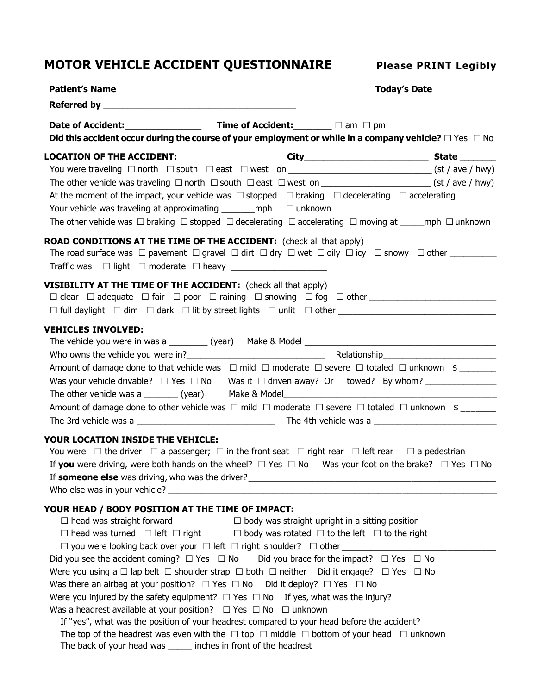## **MOTOR VEHICLE ACCIDENT QUESTIONNAIRE Please PRINT Legibly**

|                                                                                                                                                                                                                     | Today's Date |
|---------------------------------------------------------------------------------------------------------------------------------------------------------------------------------------------------------------------|--------------|
|                                                                                                                                                                                                                     |              |
|                                                                                                                                                                                                                     |              |
| Did this accident occur during the course of your employment or while in a company vehicle? $\Box$ Yes $\Box$ No                                                                                                    |              |
| <b>LOCATION OF THE ACCIDENT:</b>                                                                                                                                                                                    |              |
|                                                                                                                                                                                                                     |              |
| The other vehicle was traveling $\Box$ north $\Box$ south $\Box$ east $\Box$ west on __________________________(st / ave / hwy)                                                                                     |              |
| At the moment of the impact, your vehicle was $\Box$ stopped $\Box$ braking $\Box$ decelerating $\Box$ accelerating                                                                                                 |              |
| Your vehicle was traveling at approximating $\text{__}$ mph $\Box$ unknown                                                                                                                                          |              |
| The other vehicle was $\Box$ braking $\Box$ stopped $\Box$ decelerating $\Box$ accelerating $\Box$ moving at _____mph $\Box$ unknown                                                                                |              |
| <b>ROAD CONDITIONS AT THE TIME OF THE ACCIDENT:</b> (check all that apply)<br>The road surface was $\Box$ pavement $\Box$ gravel $\Box$ dirt $\Box$ dry $\Box$ wet $\Box$ oily $\Box$ icy $\Box$ snowy $\Box$ other |              |
| <b>VISIBILITY AT THE TIME OF THE ACCIDENT:</b> (check all that apply)                                                                                                                                               |              |
|                                                                                                                                                                                                                     |              |
|                                                                                                                                                                                                                     |              |
| <b>VEHICLES INVOLVED:</b>                                                                                                                                                                                           |              |
|                                                                                                                                                                                                                     |              |
|                                                                                                                                                                                                                     |              |
| Amount of damage done to that vehicle was $\Box$ mild $\Box$ moderate $\Box$ severe $\Box$ totaled $\Box$ unknown $\phi$                                                                                            |              |
| Was your vehicle drivable? $\Box$ Yes $\Box$ No Was it $\Box$ driven away? Or $\Box$ towed? By whom?                                                                                                                |              |
|                                                                                                                                                                                                                     |              |
| Amount of damage done to other vehicle was $\Box$ mild $\Box$ moderate $\Box$ severe $\Box$ totaled $\Box$ unknown $\phi$                                                                                           |              |
|                                                                                                                                                                                                                     |              |
| YOUR LOCATION INSIDE THE VEHICLE:                                                                                                                                                                                   |              |
| You were $\Box$ the driver $\Box$ a passenger; $\Box$ in the front seat $\Box$ right rear $\Box$ left rear $\Box$ a pedestrian                                                                                      |              |
| If you were driving, were both hands on the wheel? $\Box$ Yes $\Box$ No Was your foot on the brake? $\Box$ Yes $\Box$ No                                                                                            |              |
|                                                                                                                                                                                                                     |              |
|                                                                                                                                                                                                                     |              |
| YOUR HEAD / BODY POSITION AT THE TIME OF IMPACT:                                                                                                                                                                    |              |
| $\Box$ head was straight forward $\Box$ body was straight upright in a sitting position                                                                                                                             |              |
| $\Box$ head was turned $\Box$ left $\Box$ right $\Box$ body was rotated $\Box$ to the left $\Box$ to the right                                                                                                      |              |
|                                                                                                                                                                                                                     |              |
| Did you see the accident coming? $\Box$ Yes $\Box$ No Did you brace for the impact? $\Box$ Yes $\Box$ No                                                                                                            |              |
| Were you using a $\Box$ lap belt $\Box$ shoulder strap $\Box$ both $\Box$ neither Did it engage? $\Box$ Yes $\Box$ No                                                                                               |              |
| Was there an airbag at your position? $\Box$ Yes $\Box$ No Did it deploy? $\Box$ Yes $\Box$ No                                                                                                                      |              |
| Were you injured by the safety equipment? $\Box$ Yes $\Box$ No If yes, what was the injury?                                                                                                                         |              |
| Was a headrest available at your position? $\Box$ Yes $\Box$ No $\Box$ unknown                                                                                                                                      |              |
| If "yes", what was the position of your headrest compared to your head before the accident?                                                                                                                         |              |
| The top of the headrest was even with the $\Box$ top $\Box$ middle $\Box$ bottom of your head $\Box$ unknown                                                                                                        |              |
| The back of your head was ______ inches in front of the headrest                                                                                                                                                    |              |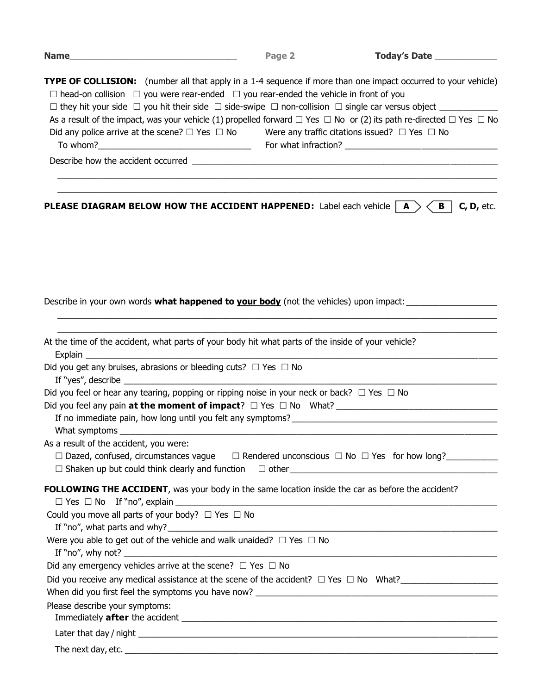|                                                                                                                                                                                                                                                                                                                                                                                                                                                                                              | Page 2 | Today's Date ______________ |
|----------------------------------------------------------------------------------------------------------------------------------------------------------------------------------------------------------------------------------------------------------------------------------------------------------------------------------------------------------------------------------------------------------------------------------------------------------------------------------------------|--------|-----------------------------|
| <b>TYPE OF COLLISION:</b> (number all that apply in a 1-4 sequence if more than one impact occurred to your vehicle)<br>$\Box$ head-on collision $\Box$ you were rear-ended $\Box$ you rear-ended the vehicle in front of you<br>As a result of the impact, was your vehicle (1) propelled forward $\Box$ Yes $\Box$ No or (2) its path re-directed $\Box$ Yes $\Box$ No<br>Did any police arrive at the scene? $\Box$ Yes $\Box$ No Were any traffic citations issued? $\Box$ Yes $\Box$ No |        |                             |
|                                                                                                                                                                                                                                                                                                                                                                                                                                                                                              |        |                             |
|                                                                                                                                                                                                                                                                                                                                                                                                                                                                                              |        |                             |
| <b>PLEASE DIAGRAM BELOW HOW THE ACCIDENT HAPPENED:</b> Label each vehicle $ $ <b>A</b> $>$ $\lt$ <b>B</b> $ $                                                                                                                                                                                                                                                                                                                                                                                |        | $C, D,$ etc.                |
| Describe in your own words <b>what happened to your body</b> (not the vehicles) upon impact:                                                                                                                                                                                                                                                                                                                                                                                                 |        |                             |
| At the time of the accident, what parts of your body hit what parts of the inside of your vehicle?                                                                                                                                                                                                                                                                                                                                                                                           |        |                             |
| Did you get any bruises, abrasions or bleeding cuts? $\Box$ Yes $\Box$ No                                                                                                                                                                                                                                                                                                                                                                                                                    |        |                             |
| Did you feel or hear any tearing, popping or ripping noise in your neck or back? $\Box$ Yes $\Box$ No                                                                                                                                                                                                                                                                                                                                                                                        |        |                             |
| If no immediate pain, how long until you felt any symptoms?                                                                                                                                                                                                                                                                                                                                                                                                                                  |        |                             |
|                                                                                                                                                                                                                                                                                                                                                                                                                                                                                              |        |                             |
| As a result of the accident, you were:                                                                                                                                                                                                                                                                                                                                                                                                                                                       |        |                             |
| $\Box$ Dazed, confused, circumstances vague $\Box$ Rendered unconscious $\Box$ No $\Box$ Yes for how long?<br>$\Box$ Shaken up but could think clearly and function $\Box$ other $\Box$                                                                                                                                                                                                                                                                                                      |        |                             |
| FOLLOWING THE ACCIDENT, was your body in the same location inside the car as before the accident?                                                                                                                                                                                                                                                                                                                                                                                            |        |                             |
| Could you move all parts of your body? $\Box$ Yes $\Box$ No                                                                                                                                                                                                                                                                                                                                                                                                                                  |        |                             |
| Were you able to get out of the vehicle and walk unaided? $\Box$ Yes $\Box$ No                                                                                                                                                                                                                                                                                                                                                                                                               |        |                             |
|                                                                                                                                                                                                                                                                                                                                                                                                                                                                                              |        |                             |
| Did any emergency vehicles arrive at the scene? $\Box$ Yes $\Box$ No                                                                                                                                                                                                                                                                                                                                                                                                                         |        |                             |
| Did you receive any medical assistance at the scene of the accident? $\Box$ Yes $\Box$ No What?                                                                                                                                                                                                                                                                                                                                                                                              |        |                             |
|                                                                                                                                                                                                                                                                                                                                                                                                                                                                                              |        |                             |
| Please describe your symptoms:                                                                                                                                                                                                                                                                                                                                                                                                                                                               |        |                             |
|                                                                                                                                                                                                                                                                                                                                                                                                                                                                                              |        |                             |
| The next day, etc.                                                                                                                                                                                                                                                                                                                                                                                                                                                                           |        |                             |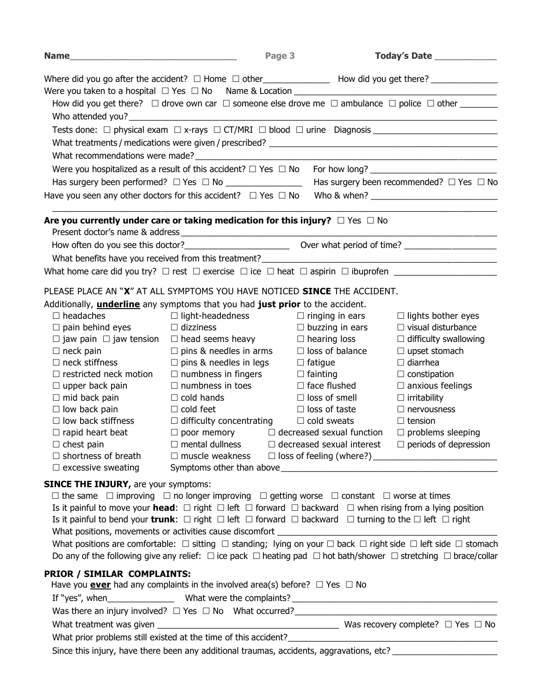| Name_                                                                                   |                                                                                                                                             | Page 3                    | Today's Date _____________                |
|-----------------------------------------------------------------------------------------|---------------------------------------------------------------------------------------------------------------------------------------------|---------------------------|-------------------------------------------|
|                                                                                         |                                                                                                                                             |                           |                                           |
|                                                                                         |                                                                                                                                             |                           |                                           |
|                                                                                         | How did you get there? $\Box$ drove own car $\Box$ someone else drove me $\Box$ ambulance $\Box$ police $\Box$ other ________               |                           |                                           |
|                                                                                         |                                                                                                                                             |                           |                                           |
|                                                                                         | Tests done: □ physical exam □ x-rays □ CT/MRI □ blood □ urine Diagnosis __________________________                                          |                           |                                           |
|                                                                                         |                                                                                                                                             |                           |                                           |
|                                                                                         | What recommendations were made?<br><u> and the commentations were made?</u>                                                                 |                           |                                           |
|                                                                                         |                                                                                                                                             |                           |                                           |
|                                                                                         | Has surgery been performed? $\Box$ Yes $\Box$ No _______________________ Has surgery been recommended? $\Box$ Yes $\Box$ No                 |                           |                                           |
| Have you seen any other doctors for this accident? $\Box$ Yes $\Box$ No                 |                                                                                                                                             |                           |                                           |
|                                                                                         |                                                                                                                                             |                           |                                           |
| Are you currently under care or taking medication for this injury? $\Box$ Yes $\Box$ No |                                                                                                                                             |                           |                                           |
|                                                                                         |                                                                                                                                             |                           |                                           |
|                                                                                         |                                                                                                                                             |                           |                                           |
|                                                                                         |                                                                                                                                             |                           |                                           |
|                                                                                         |                                                                                                                                             |                           |                                           |
| PLEASE PLACE AN "X" AT ALL SYMPTOMS YOU HAVE NOTICED SINCE THE ACCIDENT.                |                                                                                                                                             |                           |                                           |
| Additionally, <i>underline</i> any symptoms that you had just prior to the accident.    |                                                                                                                                             |                           |                                           |
| $\Box$ headaches                                                                        | $\Box$ light-headedness $\Box$ ringing in ears                                                                                              |                           | $\Box$ lights bother eyes                 |
| $\Box$ pain behind eyes $\Box$ dizziness                                                |                                                                                                                                             | $\square$ buzzing in ears | $\Box$ visual disturbance                 |
|                                                                                         | $\Box$ jaw pain $\Box$ jaw tension $\Box$ head seems heavy $\Box$ hearing loss                                                              |                           | $\Box$ difficulty swallowing              |
| $\Box$ neck pain                                                                        | $\Box$ pins & needles in arms                                                                                                               | $\Box$ loss of balance    | $\Box$ upset stomach                      |
| $\Box$ neck stiffness                                                                   | $\Box$ pins & needles in legs $\Box$ fatigue                                                                                                |                           | $\Box$ diarrhea                           |
| $\Box$ restricted neck motion                                                           | $\Box$ numbness in fingers $\Box$ fainting<br>$\Box$ numbness in toes $\Box$ face flushed                                                   |                           | $\Box$ constipation                       |
| $\Box$ upper back pain                                                                  | $\Box$ cold hands                                                                                                                           | $\Box$ loss of smell      | $\Box$ anxious feelings                   |
| $\Box$ mid back pain<br>$\Box$ low back pain                                            | $\Box$ cold feet                                                                                                                            | $\Box$ loss of taste      | $\Box$ irritability<br>$\Box$ nervousness |
| $\Box$ low back stiffness                                                               | $\Box$ difficulty concentrating $\Box$ cold sweats                                                                                          |                           | $\Box$ tension                            |
| $\Box$ rapid heart beat                                                                 | $\Box$ poor memory $\Box$ decreased sexual function                                                                                         |                           | $\Box$ problems sleeping                  |
| $\Box$ chest pain                                                                       | $\Box$ mental dullness $\Box$ decreased sexual interest $\Box$ periods of depression                                                        |                           |                                           |
|                                                                                         |                                                                                                                                             |                           |                                           |
|                                                                                         |                                                                                                                                             |                           |                                           |
| <b>SINCE THE INJURY, are your symptoms:</b>                                             |                                                                                                                                             |                           |                                           |
|                                                                                         | $\Box$ the same $\Box$ improving $\Box$ no longer improving $\Box$ getting worse $\Box$ constant $\Box$ worse at times                      |                           |                                           |
|                                                                                         | Is it painful to move your <b>head</b> : $\Box$ right $\Box$ left $\Box$ forward $\Box$ backward $\Box$ when rising from a lying position   |                           |                                           |
|                                                                                         | Is it painful to bend your trunk: $\Box$ right $\Box$ left $\Box$ forward $\Box$ backward $\Box$ turning to the $\Box$ left $\Box$ right    |                           |                                           |
|                                                                                         |                                                                                                                                             |                           |                                           |
|                                                                                         | What positions are comfortable: $\Box$ sitting $\Box$ standing; lying on your $\Box$ back $\Box$ right side $\Box$ left side $\Box$ stomach |                           |                                           |
|                                                                                         | Do any of the following give any relief: $\Box$ ice pack $\Box$ heating pad $\Box$ hot bath/shower $\Box$ stretching $\Box$ brace/collar    |                           |                                           |
|                                                                                         |                                                                                                                                             |                           |                                           |
| PRIOR / SIMILAR COMPLAINTS:                                                             | Have you <b>ever</b> had any complaints in the involved area(s) before? $\Box$ Yes $\Box$ No                                                |                           |                                           |
|                                                                                         |                                                                                                                                             |                           |                                           |
|                                                                                         |                                                                                                                                             |                           |                                           |
|                                                                                         |                                                                                                                                             |                           |                                           |
|                                                                                         |                                                                                                                                             |                           |                                           |
|                                                                                         |                                                                                                                                             |                           |                                           |
|                                                                                         | Since this injury, have there been any additional traumas, accidents, aggravations, etc?                                                    |                           |                                           |